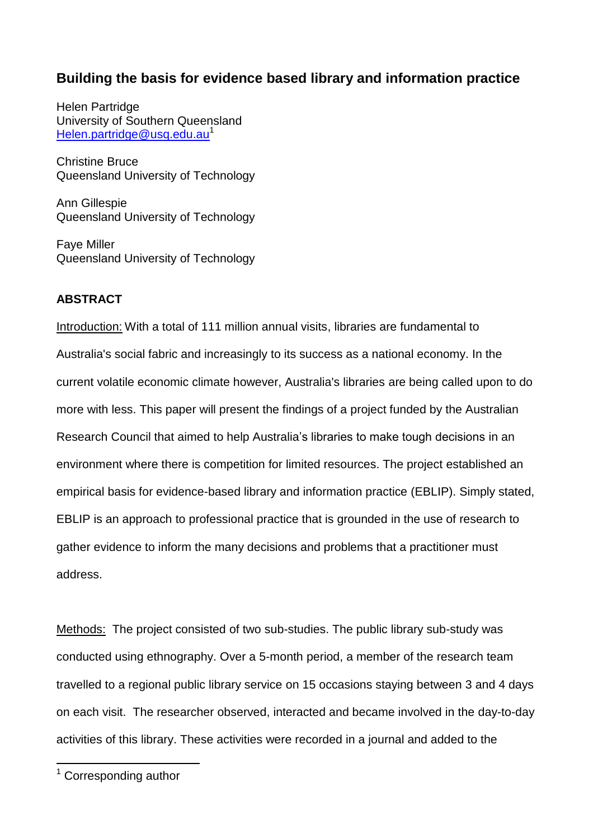# **Building the basis for evidence based library and information practice**

Helen Partridge University of Southern Queensland [Helen.partridge@usq.edu.au](mailto:Helen.partridge@usq.edu.au)<sup>1</sup>

Christine Bruce Queensland University of Technology

Ann Gillespie Queensland University of Technology

Faye Miller Queensland University of Technology

## **ABSTRACT**

Introduction: With a total of 111 million annual visits, libraries are fundamental to Australia's social fabric and increasingly to its success as a national economy. In the current volatile economic climate however, Australia's libraries are being called upon to do more with less. This paper will present the findings of a project funded by the Australian Research Council that aimed to help Australia's libraries to make tough decisions in an environment where there is competition for limited resources. The project established an empirical basis for evidence-based library and information practice (EBLIP). Simply stated, EBLIP is an approach to professional practice that is grounded in the use of research to gather evidence to inform the many decisions and problems that a practitioner must address.

Methods: The project consisted of two sub-studies. The public library sub-study was conducted using ethnography. Over a 5-month period, a member of the research team travelled to a regional public library service on 15 occasions staying between 3 and 4 days on each visit. The researcher observed, interacted and became involved in the day-to-day activities of this library. These activities were recorded in a journal and added to the

 $\overline{a}$ 

<sup>&</sup>lt;sup>1</sup> Corresponding author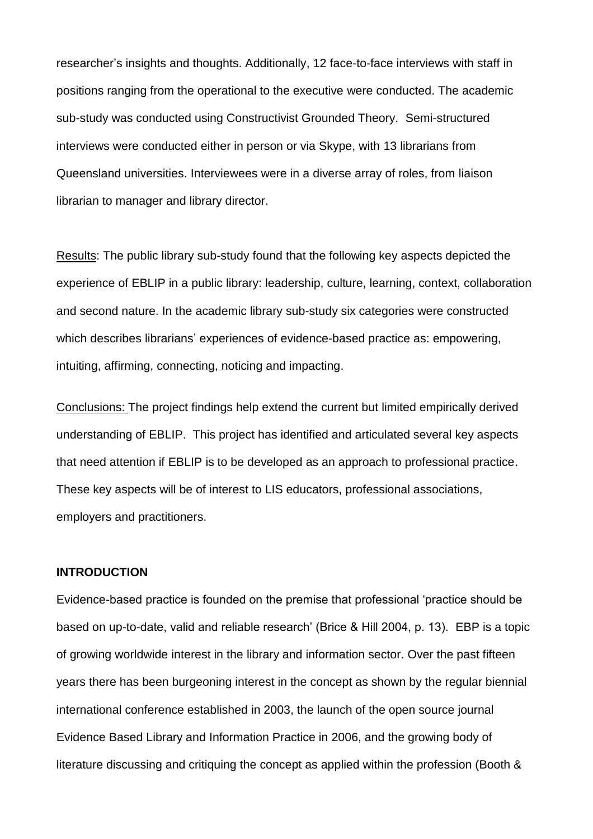researcher's insights and thoughts. Additionally, 12 face-to-face interviews with staff in positions ranging from the operational to the executive were conducted. The academic sub-study was conducted using Constructivist Grounded Theory. Semi-structured interviews were conducted either in person or via Skype, with 13 librarians from Queensland universities. Interviewees were in a diverse array of roles, from liaison librarian to manager and library director.

Results: The public library sub-study found that the following key aspects depicted the experience of EBLIP in a public library: leadership, culture, learning, context, collaboration and second nature. In the academic library sub-study six categories were constructed which describes librarians' experiences of evidence-based practice as: empowering, intuiting, affirming, connecting, noticing and impacting.

Conclusions: The project findings help extend the current but limited empirically derived understanding of EBLIP. This project has identified and articulated several key aspects that need attention if EBLIP is to be developed as an approach to professional practice. These key aspects will be of interest to LIS educators, professional associations, employers and practitioners.

#### **INTRODUCTION**

Evidence-based practice is founded on the premise that professional 'practice should be based on up-to-date, valid and reliable research' (Brice & Hill 2004, p. 13). EBP is a topic of growing worldwide interest in the library and information sector. Over the past fifteen years there has been burgeoning interest in the concept as shown by the regular biennial international conference established in 2003, the launch of the open source journal Evidence Based Library and Information Practice in 2006, and the growing body of literature discussing and critiquing the concept as applied within the profession (Booth &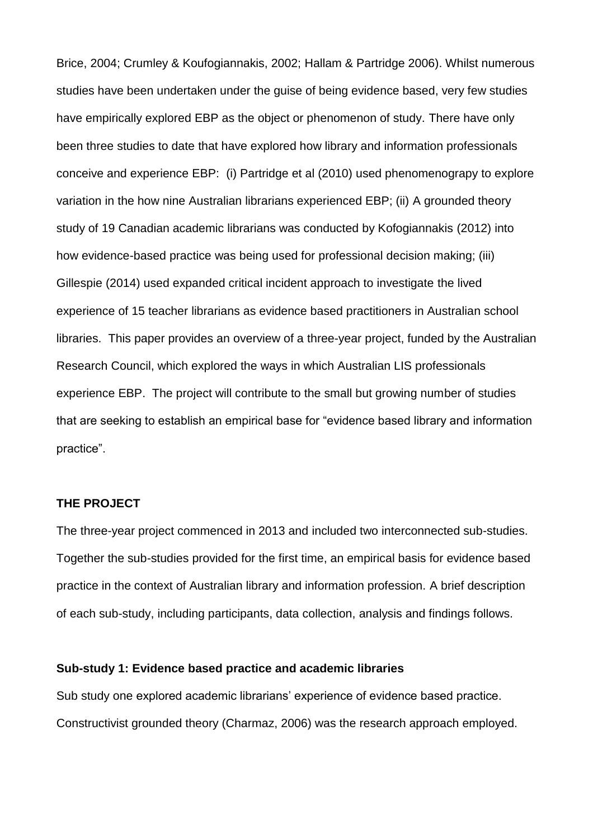Brice, 2004; Crumley & Koufogiannakis, 2002; Hallam & Partridge 2006). Whilst numerous studies have been undertaken under the guise of being evidence based, very few studies have empirically explored EBP as the object or phenomenon of study. There have only been three studies to date that have explored how library and information professionals conceive and experience EBP: (i) Partridge et al (2010) used phenomenograpy to explore variation in the how nine Australian librarians experienced EBP; (ii) A grounded theory study of 19 Canadian academic librarians was conducted by Kofogiannakis (2012) into how evidence-based practice was being used for professional decision making; (iii) Gillespie (2014) used expanded critical incident approach to investigate the lived experience of 15 teacher librarians as evidence based practitioners in Australian school libraries. This paper provides an overview of a three-year project, funded by the Australian Research Council, which explored the ways in which Australian LIS professionals experience EBP. The project will contribute to the small but growing number of studies that are seeking to establish an empirical base for "evidence based library and information practice".

#### **THE PROJECT**

The three-year project commenced in 2013 and included two interconnected sub-studies. Together the sub-studies provided for the first time, an empirical basis for evidence based practice in the context of Australian library and information profession. A brief description of each sub-study, including participants, data collection, analysis and findings follows.

## **Sub-study 1: Evidence based practice and academic libraries**

Sub study one explored academic librarians' experience of evidence based practice. Constructivist grounded theory (Charmaz, 2006) was the research approach employed.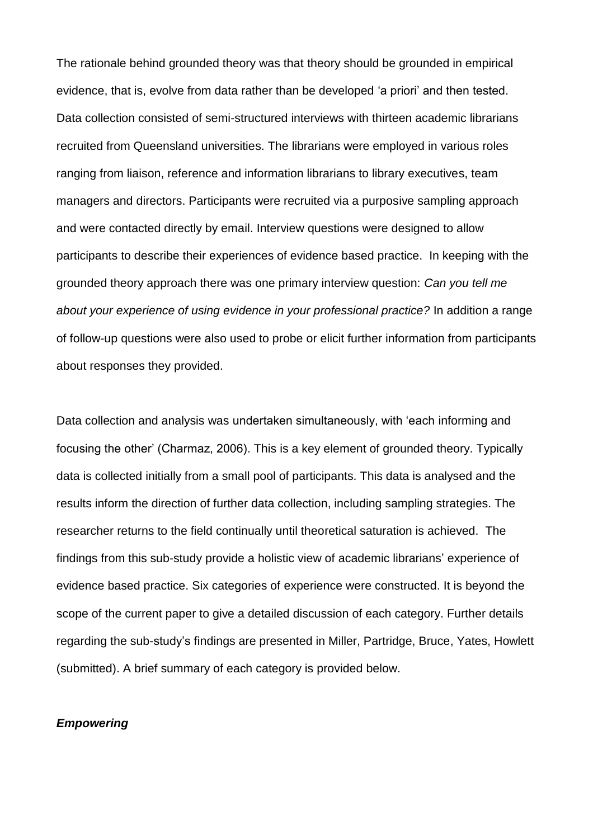The rationale behind grounded theory was that theory should be grounded in empirical evidence, that is, evolve from data rather than be developed 'a priori' and then tested. Data collection consisted of semi-structured interviews with thirteen academic librarians recruited from Queensland universities. The librarians were employed in various roles ranging from liaison, reference and information librarians to library executives, team managers and directors. Participants were recruited via a purposive sampling approach and were contacted directly by email. Interview questions were designed to allow participants to describe their experiences of evidence based practice. In keeping with the grounded theory approach there was one primary interview question: *Can you tell me about your experience of using evidence in your professional practice?* In addition a range of follow-up questions were also used to probe or elicit further information from participants about responses they provided.

Data collection and analysis was undertaken simultaneously, with 'each informing and focusing the other' (Charmaz, 2006). This is a key element of grounded theory. Typically data is collected initially from a small pool of participants. This data is analysed and the results inform the direction of further data collection, including sampling strategies. The researcher returns to the field continually until theoretical saturation is achieved. The findings from this sub-study provide a holistic view of academic librarians' experience of evidence based practice. Six categories of experience were constructed. It is beyond the scope of the current paper to give a detailed discussion of each category. Further details regarding the sub-study's findings are presented in Miller, Partridge, Bruce, Yates, Howlett (submitted). A brief summary of each category is provided below.

## *Empowering*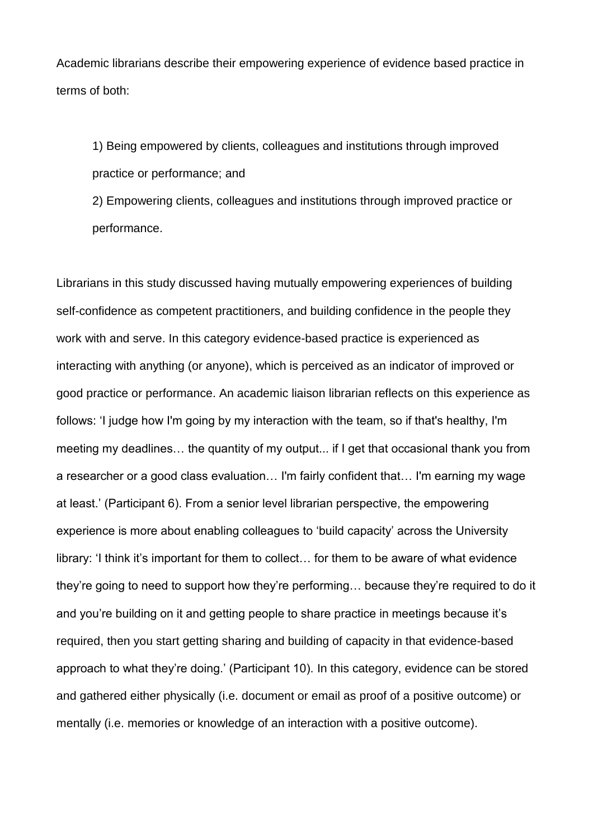Academic librarians describe their empowering experience of evidence based practice in terms of both:

1) Being empowered by clients, colleagues and institutions through improved practice or performance; and

2) Empowering clients, colleagues and institutions through improved practice or performance.

Librarians in this study discussed having mutually empowering experiences of building self-confidence as competent practitioners, and building confidence in the people they work with and serve. In this category evidence-based practice is experienced as interacting with anything (or anyone), which is perceived as an indicator of improved or good practice or performance. An academic liaison librarian reflects on this experience as follows: 'I judge how I'm going by my interaction with the team, so if that's healthy, I'm meeting my deadlines… the quantity of my output... if I get that occasional thank you from a researcher or a good class evaluation… I'm fairly confident that… I'm earning my wage at least.' (Participant 6). From a senior level librarian perspective, the empowering experience is more about enabling colleagues to 'build capacity' across the University library: 'I think it's important for them to collect… for them to be aware of what evidence they're going to need to support how they're performing… because they're required to do it and you're building on it and getting people to share practice in meetings because it's required, then you start getting sharing and building of capacity in that evidence-based approach to what they're doing.' (Participant 10). In this category, evidence can be stored and gathered either physically (i.e. document or email as proof of a positive outcome) or mentally (i.e. memories or knowledge of an interaction with a positive outcome).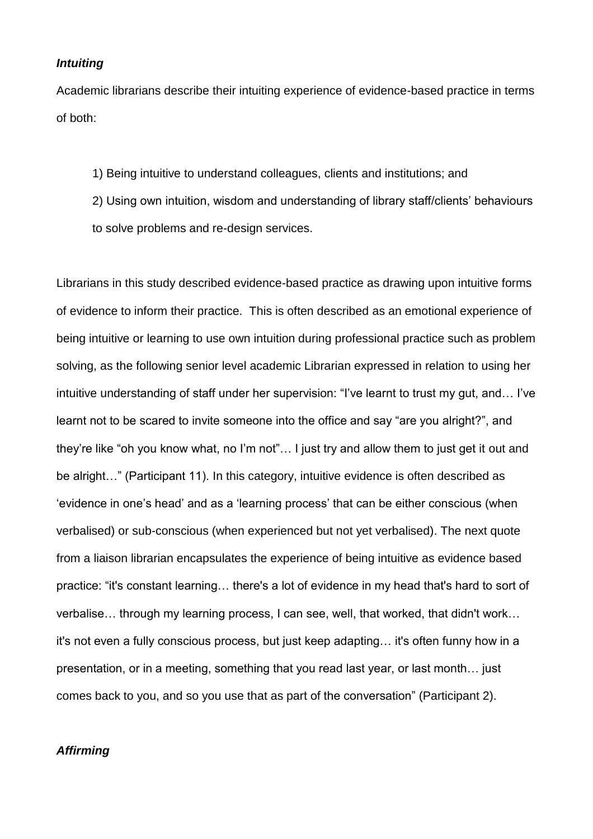## *Intuiting*

Academic librarians describe their intuiting experience of evidence-based practice in terms of both:

1) Being intuitive to understand colleagues, clients and institutions; and

to solve problems and re-design services.

- 2) Using own intuition, wisdom and understanding of library staff/clients' behaviours
- Librarians in this study described evidence-based practice as drawing upon intuitive forms of evidence to inform their practice. This is often described as an emotional experience of being intuitive or learning to use own intuition during professional practice such as problem be alright…" (Participant 11). In this category, intuitive evidence is often described as

solving, as the following senior level academic Librarian expressed in relation to using her intuitive understanding of staff under her supervision: "I've learnt to trust my gut, and… I've learnt not to be scared to invite someone into the office and say "are you alright?", and they're like "oh you know what, no I'm not"… I just try and allow them to just get it out and 'evidence in one's head' and as a 'learning process' that can be either conscious (when verbalised) or sub-conscious (when experienced but not yet verbalised). The next quote from a liaison librarian encapsulates the experience of being intuitive as evidence based practice: "it's constant learning… there's a lot of evidence in my head that's hard to sort of verbalise… through my learning process, I can see, well, that worked, that didn't work… it's not even a fully conscious process, but just keep adapting… it's often funny how in a presentation, or in a meeting, something that you read last year, or last month… just comes back to you, and so you use that as part of the conversation" (Participant 2).

## *Affirming*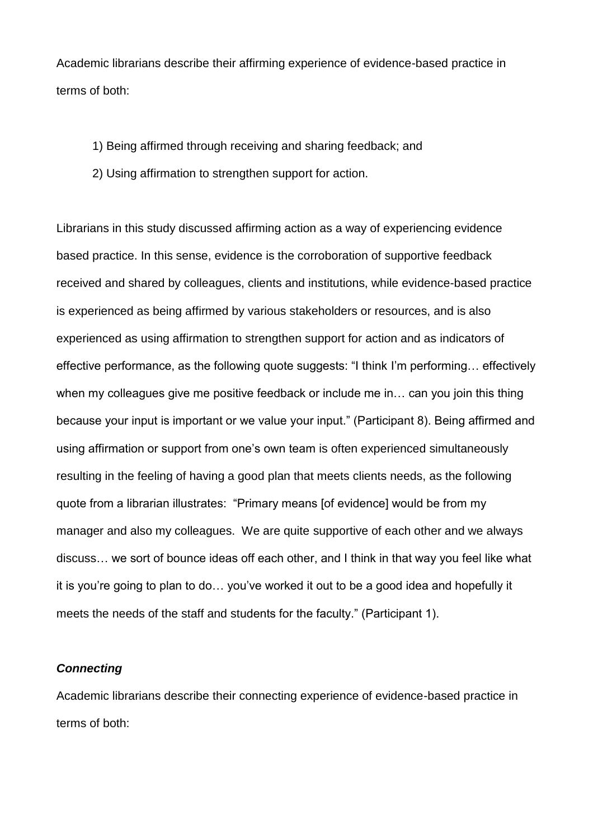Academic librarians describe their affirming experience of evidence-based practice in terms of both:

- 1) Being affirmed through receiving and sharing feedback; and
- 2) Using affirmation to strengthen support for action.

Librarians in this study discussed affirming action as a way of experiencing evidence based practice. In this sense, evidence is the corroboration of supportive feedback received and shared by colleagues, clients and institutions, while evidence-based practice is experienced as being affirmed by various stakeholders or resources, and is also experienced as using affirmation to strengthen support for action and as indicators of effective performance, as the following quote suggests: "I think I'm performing… effectively when my colleagues give me positive feedback or include me in… can you join this thing because your input is important or we value your input." (Participant 8). Being affirmed and using affirmation or support from one's own team is often experienced simultaneously resulting in the feeling of having a good plan that meets clients needs, as the following quote from a librarian illustrates: "Primary means [of evidence] would be from my manager and also my colleagues. We are quite supportive of each other and we always discuss… we sort of bounce ideas off each other, and I think in that way you feel like what it is you're going to plan to do… you've worked it out to be a good idea and hopefully it meets the needs of the staff and students for the faculty." (Participant 1).

#### *Connecting*

Academic librarians describe their connecting experience of evidence-based practice in terms of both: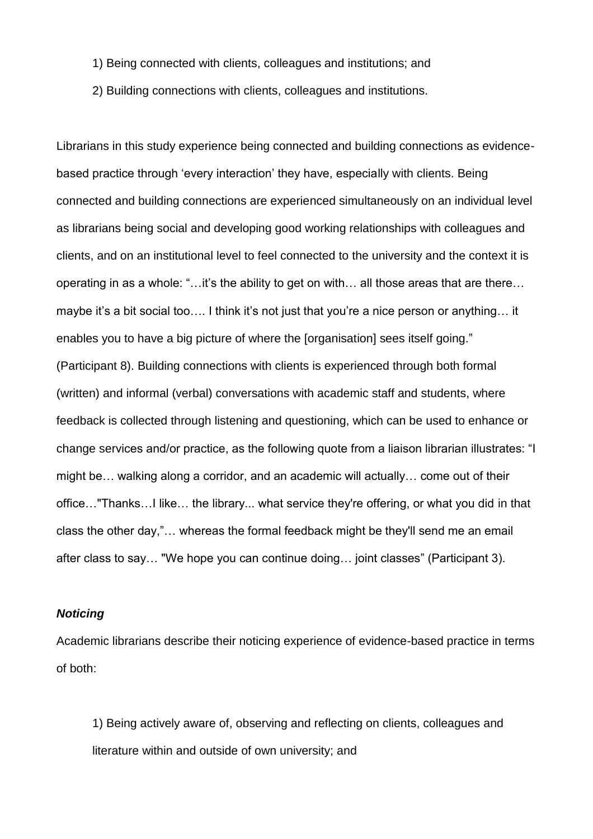- 1) Being connected with clients, colleagues and institutions; and
- 2) Building connections with clients, colleagues and institutions.

Librarians in this study experience being connected and building connections as evidencebased practice through 'every interaction' they have, especially with clients. Being connected and building connections are experienced simultaneously on an individual level as librarians being social and developing good working relationships with colleagues and clients, and on an institutional level to feel connected to the university and the context it is operating in as a whole: "…it's the ability to get on with… all those areas that are there… maybe it's a bit social too…. I think it's not just that you're a nice person or anything… it enables you to have a big picture of where the [organisation] sees itself going." (Participant 8). Building connections with clients is experienced through both formal (written) and informal (verbal) conversations with academic staff and students, where feedback is collected through listening and questioning, which can be used to enhance or change services and/or practice, as the following quote from a liaison librarian illustrates: "I might be… walking along a corridor, and an academic will actually… come out of their office…"Thanks…I like… the library... what service they're offering, or what you did in that class the other day,"… whereas the formal feedback might be they'll send me an email after class to say… "We hope you can continue doing… joint classes" (Participant 3).

## *Noticing*

Academic librarians describe their noticing experience of evidence-based practice in terms of both:

1) Being actively aware of, observing and reflecting on clients, colleagues and literature within and outside of own university; and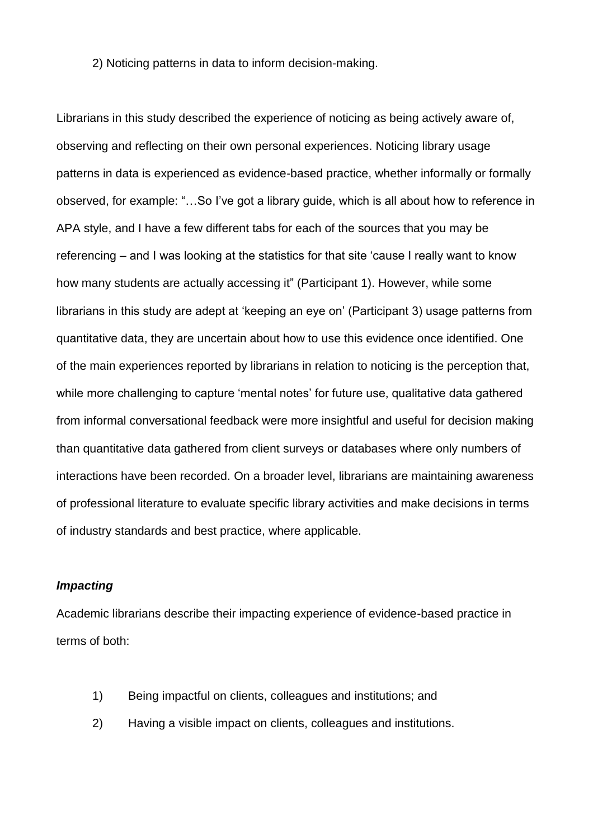2) Noticing patterns in data to inform decision-making.

Librarians in this study described the experience of noticing as being actively aware of, observing and reflecting on their own personal experiences. Noticing library usage patterns in data is experienced as evidence-based practice, whether informally or formally observed, for example: "…So I've got a library guide, which is all about how to reference in APA style, and I have a few different tabs for each of the sources that you may be referencing – and I was looking at the statistics for that site 'cause I really want to know how many students are actually accessing it" (Participant 1). However, while some librarians in this study are adept at 'keeping an eye on' (Participant 3) usage patterns from quantitative data, they are uncertain about how to use this evidence once identified. One of the main experiences reported by librarians in relation to noticing is the perception that, while more challenging to capture 'mental notes' for future use, qualitative data gathered from informal conversational feedback were more insightful and useful for decision making than quantitative data gathered from client surveys or databases where only numbers of interactions have been recorded. On a broader level, librarians are maintaining awareness of professional literature to evaluate specific library activities and make decisions in terms of industry standards and best practice, where applicable.

#### *Impacting*

Academic librarians describe their impacting experience of evidence-based practice in terms of both:

- 1) Being impactful on clients, colleagues and institutions; and
- 2) Having a visible impact on clients, colleagues and institutions.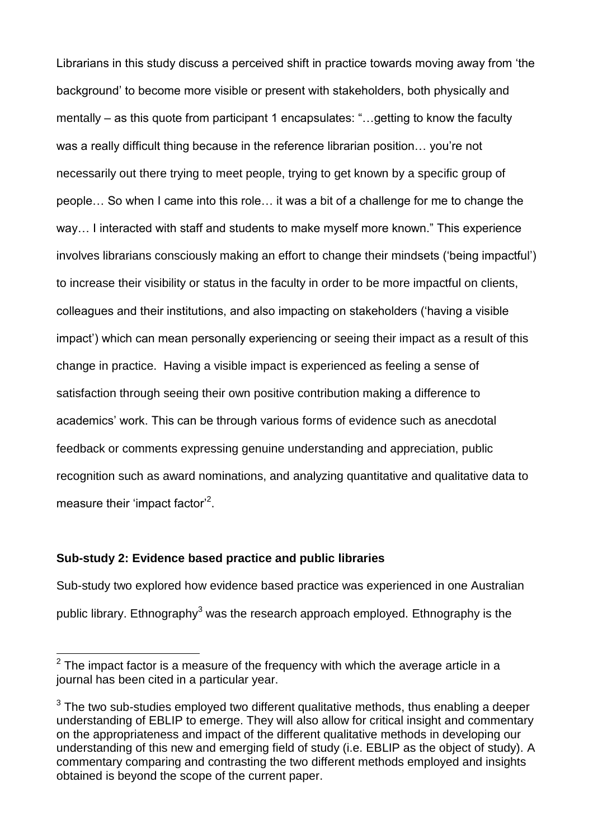Librarians in this study discuss a perceived shift in practice towards moving away from 'the background' to become more visible or present with stakeholders, both physically and mentally – as this quote from participant 1 encapsulates: "…getting to know the faculty was a really difficult thing because in the reference librarian position… you're not necessarily out there trying to meet people, trying to get known by a specific group of people… So when I came into this role… it was a bit of a challenge for me to change the way… I interacted with staff and students to make myself more known." This experience involves librarians consciously making an effort to change their mindsets ('being impactful') to increase their visibility or status in the faculty in order to be more impactful on clients, colleagues and their institutions, and also impacting on stakeholders ('having a visible impact') which can mean personally experiencing or seeing their impact as a result of this change in practice. Having a visible impact is experienced as feeling a sense of satisfaction through seeing their own positive contribution making a difference to academics' work. This can be through various forms of evidence such as anecdotal feedback or comments expressing genuine understanding and appreciation, public recognition such as award nominations, and analyzing quantitative and qualitative data to measure their 'impact factor'<sup>2</sup>.

#### **Sub-study 2: Evidence based practice and public libraries**

 $\overline{\phantom{a}}$ 

Sub-study two explored how evidence based practice was experienced in one Australian public library. Ethnography<sup>3</sup> was the research approach employed. Ethnography is the

 $2$  The impact factor is a measure of the frequency with which the average article in a journal has been cited in a particular year.

 $3$  The two sub-studies employed two different qualitative methods, thus enabling a deeper understanding of EBLIP to emerge. They will also allow for critical insight and commentary on the appropriateness and impact of the different qualitative methods in developing our understanding of this new and emerging field of study (i.e. EBLIP as the object of study). A commentary comparing and contrasting the two different methods employed and insights obtained is beyond the scope of the current paper.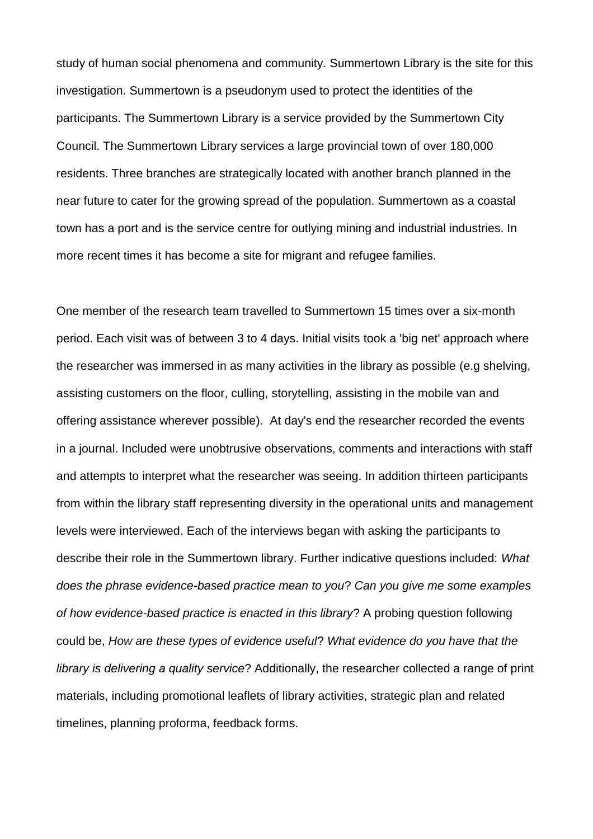study of human social phenomena and community. Summertown Library is the site for this investigation. Summertown is a pseudonym used to protect the identities of the participants. The Summertown Library is a service provided by the Summertown City Council. The Summertown Library services a large provincial town of over 180,000 residents. Three branches are strategically located with another branch planned in the near future to cater for the growing spread of the population. Summertown as a coastal town has a port and is the service centre for outlying mining and industrial industries. In more recent times it has become a site for migrant and refugee families.

One member of the research team travelled to Summertown 15 times over a six-month period. Each visit was of between 3 to 4 days. Initial visits took a 'big net' approach where the researcher was immersed in as many activities in the library as possible (e.g shelving, assisting customers on the floor, culling, storytelling, assisting in the mobile van and offering assistance wherever possible). At day's end the researcher recorded the events in a journal. Included were unobtrusive observations, comments and interactions with staff and attempts to interpret what the researcher was seeing. In addition thirteen participants from within the library staff representing diversity in the operational units and management levels were interviewed. Each of the interviews began with asking the participants to describe their role in the Summertown library. Further indicative questions included: *What does the phrase evidence-based practice mean to you*? *Can you give me some examples of how evidence-based practice is enacted in this library*? A probing question following could be, *How are these types of evidence useful*? *What evidence do you have that the library is delivering a quality service*? Additionally, the researcher collected a range of print materials, including promotional leaflets of library activities, strategic plan and related timelines, planning proforma, feedback forms.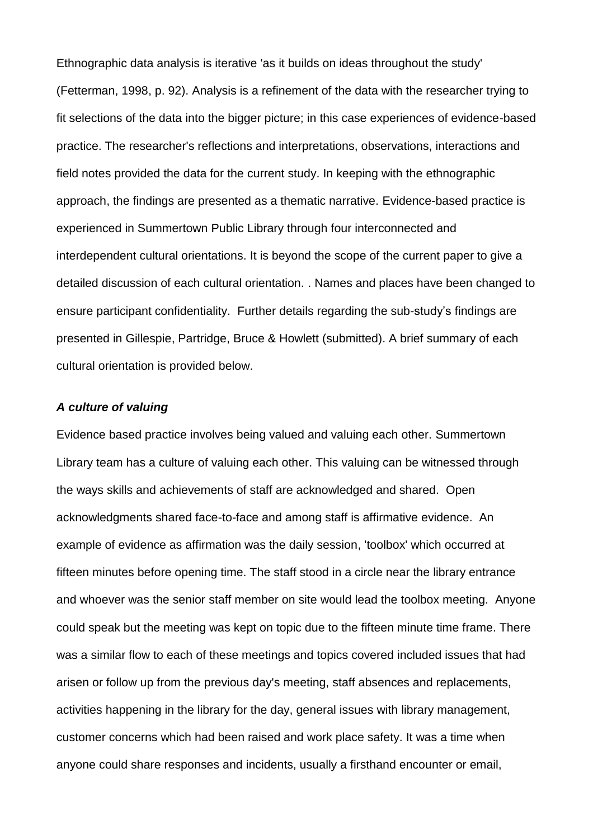Ethnographic data analysis is iterative 'as it builds on ideas throughout the study' (Fetterman, 1998, p. 92). Analysis is a refinement of the data with the researcher trying to fit selections of the data into the bigger picture; in this case experiences of evidence-based practice. The researcher's reflections and interpretations, observations, interactions and field notes provided the data for the current study. In keeping with the ethnographic approach, the findings are presented as a thematic narrative. Evidence-based practice is experienced in Summertown Public Library through four interconnected and interdependent cultural orientations. It is beyond the scope of the current paper to give a detailed discussion of each cultural orientation. . Names and places have been changed to ensure participant confidentiality. Further details regarding the sub-study's findings are presented in Gillespie, Partridge, Bruce & Howlett (submitted). A brief summary of each cultural orientation is provided below.

## *A culture of valuing*

Evidence based practice involves being valued and valuing each other. Summertown Library team has a culture of valuing each other. This valuing can be witnessed through the ways skills and achievements of staff are acknowledged and shared. Open acknowledgments shared face-to-face and among staff is affirmative evidence. An example of evidence as affirmation was the daily session, 'toolbox' which occurred at fifteen minutes before opening time. The staff stood in a circle near the library entrance and whoever was the senior staff member on site would lead the toolbox meeting. Anyone could speak but the meeting was kept on topic due to the fifteen minute time frame. There was a similar flow to each of these meetings and topics covered included issues that had arisen or follow up from the previous day's meeting, staff absences and replacements, activities happening in the library for the day, general issues with library management, customer concerns which had been raised and work place safety. It was a time when anyone could share responses and incidents, usually a firsthand encounter or email,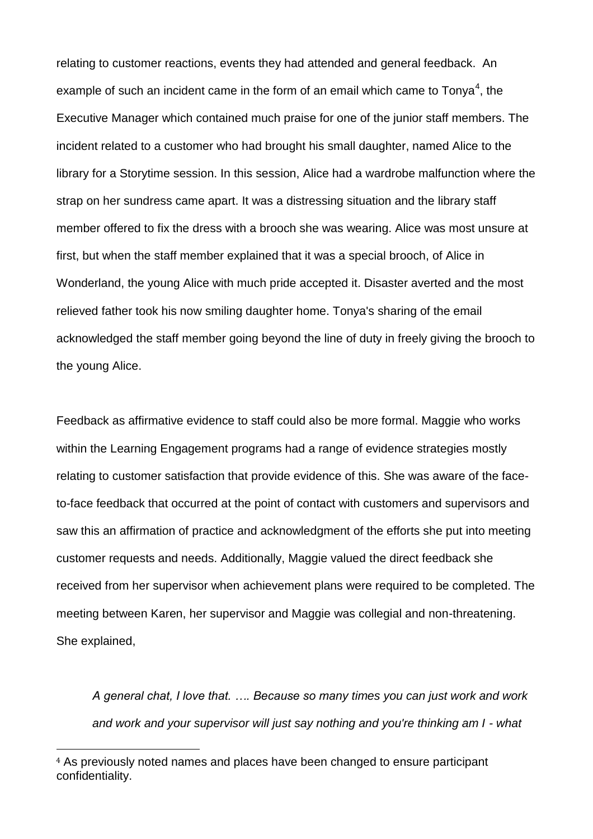relating to customer reactions, events they had attended and general feedback. An example of such an incident came in the form of an email which came to Tonya<sup>4</sup>, the Executive Manager which contained much praise for one of the junior staff members. The incident related to a customer who had brought his small daughter, named Alice to the library for a Storytime session. In this session, Alice had a wardrobe malfunction where the strap on her sundress came apart. It was a distressing situation and the library staff member offered to fix the dress with a brooch she was wearing. Alice was most unsure at first, but when the staff member explained that it was a special brooch, of Alice in Wonderland, the young Alice with much pride accepted it. Disaster averted and the most relieved father took his now smiling daughter home. Tonya's sharing of the email acknowledged the staff member going beyond the line of duty in freely giving the brooch to the young Alice.

Feedback as affirmative evidence to staff could also be more formal. Maggie who works within the Learning Engagement programs had a range of evidence strategies mostly relating to customer satisfaction that provide evidence of this. She was aware of the faceto-face feedback that occurred at the point of contact with customers and supervisors and saw this an affirmation of practice and acknowledgment of the efforts she put into meeting customer requests and needs. Additionally, Maggie valued the direct feedback she received from her supervisor when achievement plans were required to be completed. The meeting between Karen, her supervisor and Maggie was collegial and non-threatening. She explained,

*A general chat, I love that. …. Because so many times you can just work and work and work and your supervisor will just say nothing and you're thinking am I - what* 

 $\overline{a}$ 

<sup>4</sup> As previously noted names and places have been changed to ensure participant confidentiality.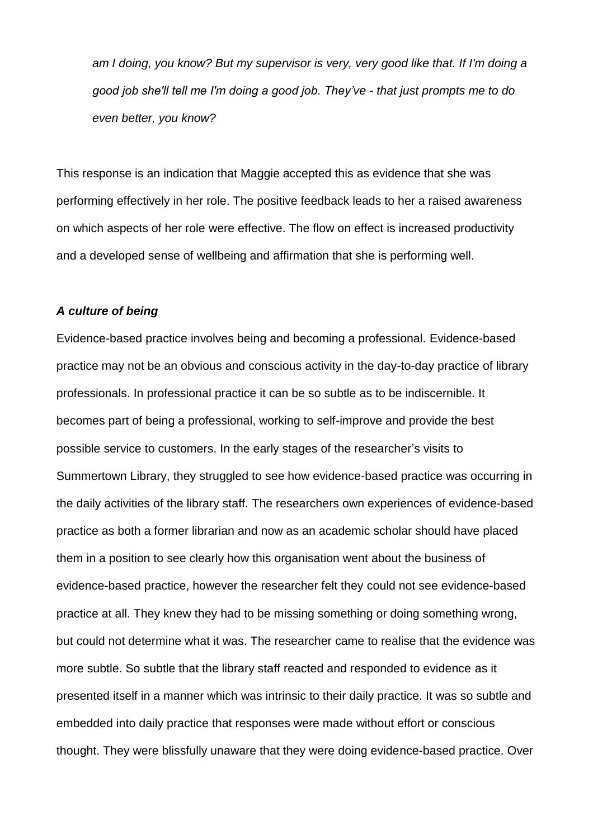*am I doing, you know? But my supervisor is very, very good like that. If I'm doing a good job she'll tell me I'm doing a good job. They've - that just prompts me to do even better, you know?* 

This response is an indication that Maggie accepted this as evidence that she was performing effectively in her role. The positive feedback leads to her a raised awareness on which aspects of her role were effective. The flow on effect is increased productivity and a developed sense of wellbeing and affirmation that she is performing well.

#### *A culture of being*

Evidence-based practice involves being and becoming a professional. Evidence-based practice may not be an obvious and conscious activity in the day-to-day practice of library professionals. In professional practice it can be so subtle as to be indiscernible. It becomes part of being a professional, working to self-improve and provide the best possible service to customers. In the early stages of the researcher's visits to Summertown Library, they struggled to see how evidence-based practice was occurring in the daily activities of the library staff. The researchers own experiences of evidence-based practice as both a former librarian and now as an academic scholar should have placed them in a position to see clearly how this organisation went about the business of evidence-based practice, however the researcher felt they could not see evidence-based practice at all. They knew they had to be missing something or doing something wrong, but could not determine what it was. The researcher came to realise that the evidence was more subtle. So subtle that the library staff reacted and responded to evidence as it presented itself in a manner which was intrinsic to their daily practice. It was so subtle and embedded into daily practice that responses were made without effort or conscious thought. They were blissfully unaware that they were doing evidence-based practice. Over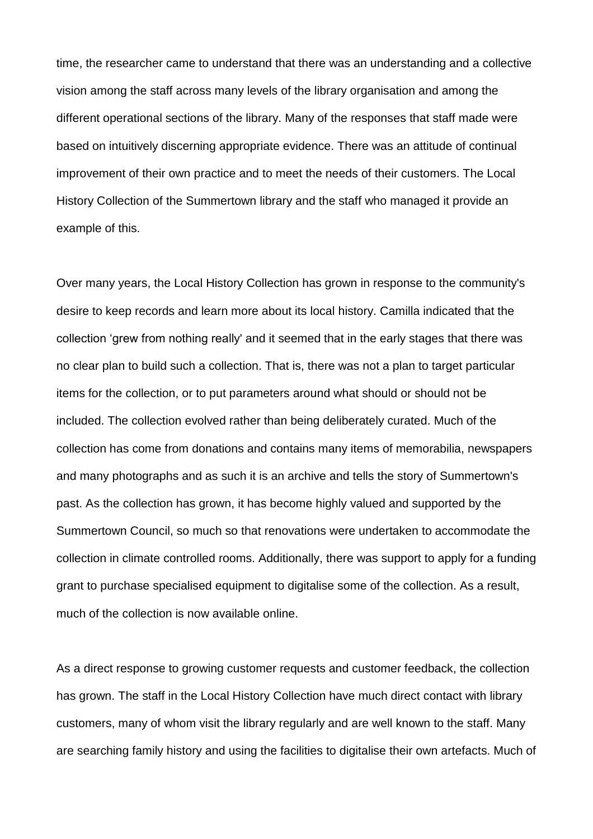time, the researcher came to understand that there was an understanding and a collective vision among the staff across many levels of the library organisation and among the different operational sections of the library. Many of the responses that staff made were based on intuitively discerning appropriate evidence. There was an attitude of continual improvement of their own practice and to meet the needs of their customers. The Local History Collection of the Summertown library and the staff who managed it provide an example of this.

Over many years, the Local History Collection has grown in response to the community's desire to keep records and learn more about its local history. Camilla indicated that the collection 'grew from nothing really' and it seemed that in the early stages that there was no clear plan to build such a collection. That is, there was not a plan to target particular items for the collection, or to put parameters around what should or should not be included. The collection evolved rather than being deliberately curated. Much of the collection has come from donations and contains many items of memorabilia, newspapers and many photographs and as such it is an archive and tells the story of Summertown's past. As the collection has grown, it has become highly valued and supported by the Summertown Council, so much so that renovations were undertaken to accommodate the collection in climate controlled rooms. Additionally, there was support to apply for a funding grant to purchase specialised equipment to digitalise some of the collection. As a result, much of the collection is now available online.

As a direct response to growing customer requests and customer feedback, the collection has grown. The staff in the Local History Collection have much direct contact with library customers, many of whom visit the library regularly and are well known to the staff. Many are searching family history and using the facilities to digitalise their own artefacts. Much of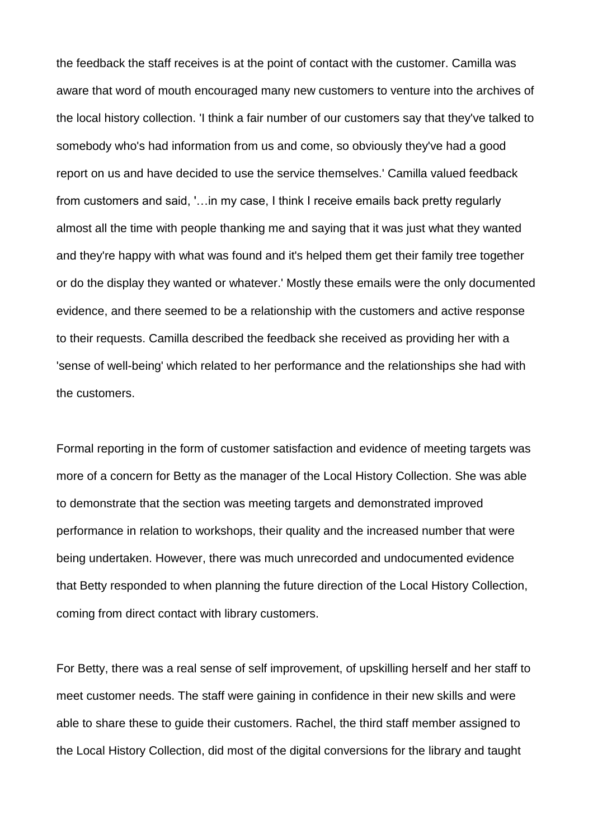the feedback the staff receives is at the point of contact with the customer. Camilla was aware that word of mouth encouraged many new customers to venture into the archives of the local history collection. 'I think a fair number of our customers say that they've talked to somebody who's had information from us and come, so obviously they've had a good report on us and have decided to use the service themselves.' Camilla valued feedback from customers and said, '…in my case, I think I receive emails back pretty regularly almost all the time with people thanking me and saying that it was just what they wanted and they're happy with what was found and it's helped them get their family tree together or do the display they wanted or whatever.' Mostly these emails were the only documented evidence, and there seemed to be a relationship with the customers and active response to their requests. Camilla described the feedback she received as providing her with a 'sense of well-being' which related to her performance and the relationships she had with the customers.

Formal reporting in the form of customer satisfaction and evidence of meeting targets was more of a concern for Betty as the manager of the Local History Collection. She was able to demonstrate that the section was meeting targets and demonstrated improved performance in relation to workshops, their quality and the increased number that were being undertaken. However, there was much unrecorded and undocumented evidence that Betty responded to when planning the future direction of the Local History Collection, coming from direct contact with library customers.

For Betty, there was a real sense of self improvement, of upskilling herself and her staff to meet customer needs. The staff were gaining in confidence in their new skills and were able to share these to guide their customers. Rachel, the third staff member assigned to the Local History Collection, did most of the digital conversions for the library and taught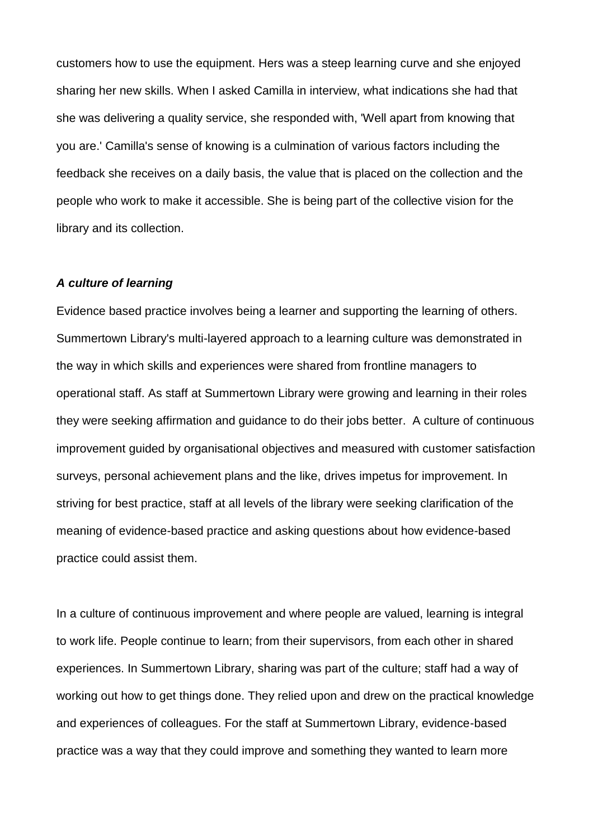customers how to use the equipment. Hers was a steep learning curve and she enjoyed sharing her new skills. When I asked Camilla in interview, what indications she had that she was delivering a quality service, she responded with, 'Well apart from knowing that you are.' Camilla's sense of knowing is a culmination of various factors including the feedback she receives on a daily basis, the value that is placed on the collection and the people who work to make it accessible. She is being part of the collective vision for the library and its collection.

#### *A culture of learning*

Evidence based practice involves being a learner and supporting the learning of others. Summertown Library's multi-layered approach to a learning culture was demonstrated in the way in which skills and experiences were shared from frontline managers to operational staff. As staff at Summertown Library were growing and learning in their roles they were seeking affirmation and guidance to do their jobs better. A culture of continuous improvement guided by organisational objectives and measured with customer satisfaction surveys, personal achievement plans and the like, drives impetus for improvement. In striving for best practice, staff at all levels of the library were seeking clarification of the meaning of evidence-based practice and asking questions about how evidence-based practice could assist them.

In a culture of continuous improvement and where people are valued, learning is integral to work life. People continue to learn; from their supervisors, from each other in shared experiences. In Summertown Library, sharing was part of the culture; staff had a way of working out how to get things done. They relied upon and drew on the practical knowledge and experiences of colleagues. For the staff at Summertown Library, evidence-based practice was a way that they could improve and something they wanted to learn more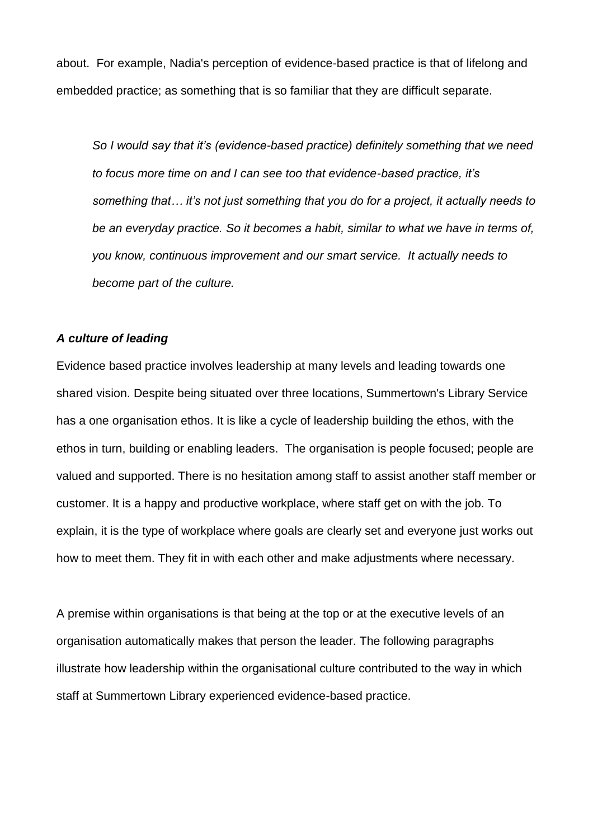about. For example, Nadia's perception of evidence-based practice is that of lifelong and embedded practice; as something that is so familiar that they are difficult separate.

*So I would say that it's (evidence-based practice) definitely something that we need to focus more time on and I can see too that evidence-based practice, it's something that… it's not just something that you do for a project, it actually needs to be an everyday practice. So it becomes a habit, similar to what we have in terms of, you know, continuous improvement and our smart service. It actually needs to become part of the culture.*

#### *A culture of leading*

Evidence based practice involves leadership at many levels and leading towards one shared vision. Despite being situated over three locations, Summertown's Library Service has a one organisation ethos. It is like a cycle of leadership building the ethos, with the ethos in turn, building or enabling leaders. The organisation is people focused; people are valued and supported. There is no hesitation among staff to assist another staff member or customer. It is a happy and productive workplace, where staff get on with the job. To explain, it is the type of workplace where goals are clearly set and everyone just works out how to meet them. They fit in with each other and make adjustments where necessary.

A premise within organisations is that being at the top or at the executive levels of an organisation automatically makes that person the leader. The following paragraphs illustrate how leadership within the organisational culture contributed to the way in which staff at Summertown Library experienced evidence-based practice.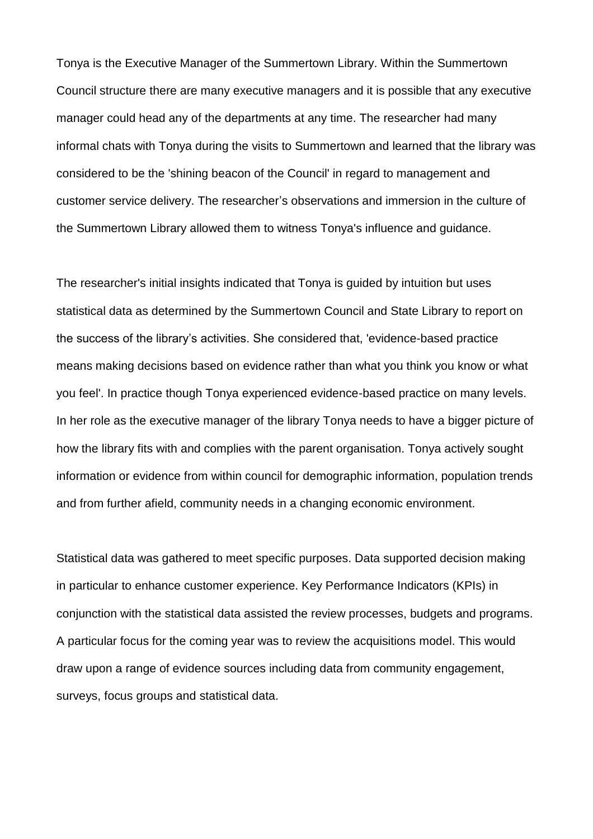Tonya is the Executive Manager of the Summertown Library. Within the Summertown Council structure there are many executive managers and it is possible that any executive manager could head any of the departments at any time. The researcher had many informal chats with Tonya during the visits to Summertown and learned that the library was considered to be the 'shining beacon of the Council' in regard to management and customer service delivery. The researcher's observations and immersion in the culture of the Summertown Library allowed them to witness Tonya's influence and guidance.

The researcher's initial insights indicated that Tonya is guided by intuition but uses statistical data as determined by the Summertown Council and State Library to report on the success of the library's activities. She considered that, 'evidence-based practice means making decisions based on evidence rather than what you think you know or what you feel'. In practice though Tonya experienced evidence-based practice on many levels. In her role as the executive manager of the library Tonya needs to have a bigger picture of how the library fits with and complies with the parent organisation. Tonya actively sought information or evidence from within council for demographic information, population trends and from further afield, community needs in a changing economic environment.

Statistical data was gathered to meet specific purposes. Data supported decision making in particular to enhance customer experience. Key Performance Indicators (KPIs) in conjunction with the statistical data assisted the review processes, budgets and programs. A particular focus for the coming year was to review the acquisitions model. This would draw upon a range of evidence sources including data from community engagement, surveys, focus groups and statistical data.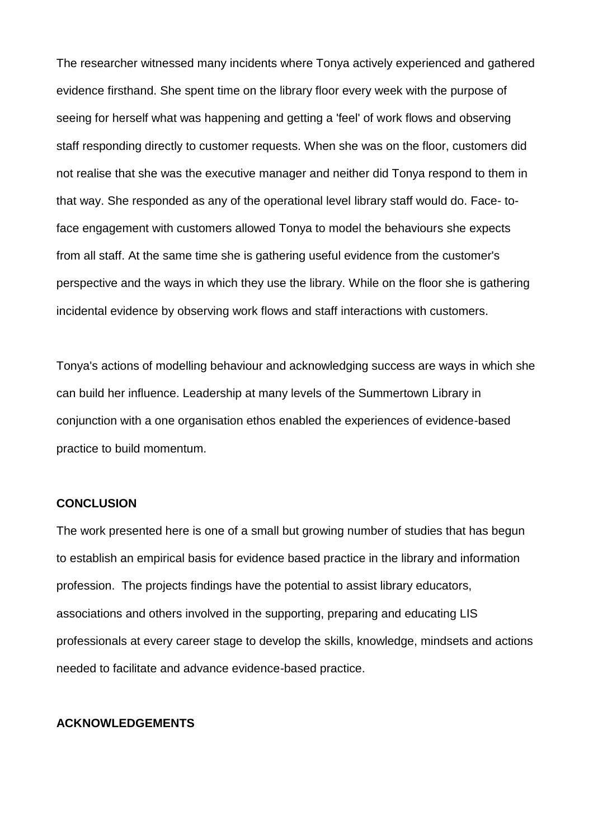The researcher witnessed many incidents where Tonya actively experienced and gathered evidence firsthand. She spent time on the library floor every week with the purpose of seeing for herself what was happening and getting a 'feel' of work flows and observing staff responding directly to customer requests. When she was on the floor, customers did not realise that she was the executive manager and neither did Tonya respond to them in that way. She responded as any of the operational level library staff would do. Face- toface engagement with customers allowed Tonya to model the behaviours she expects from all staff. At the same time she is gathering useful evidence from the customer's perspective and the ways in which they use the library. While on the floor she is gathering incidental evidence by observing work flows and staff interactions with customers.

Tonya's actions of modelling behaviour and acknowledging success are ways in which she can build her influence. Leadership at many levels of the Summertown Library in conjunction with a one organisation ethos enabled the experiences of evidence-based practice to build momentum.

## **CONCLUSION**

The work presented here is one of a small but growing number of studies that has begun to establish an empirical basis for evidence based practice in the library and information profession. The projects findings have the potential to assist library educators, associations and others involved in the supporting, preparing and educating LIS professionals at every career stage to develop the skills, knowledge, mindsets and actions needed to facilitate and advance evidence-based practice.

## **ACKNOWLEDGEMENTS**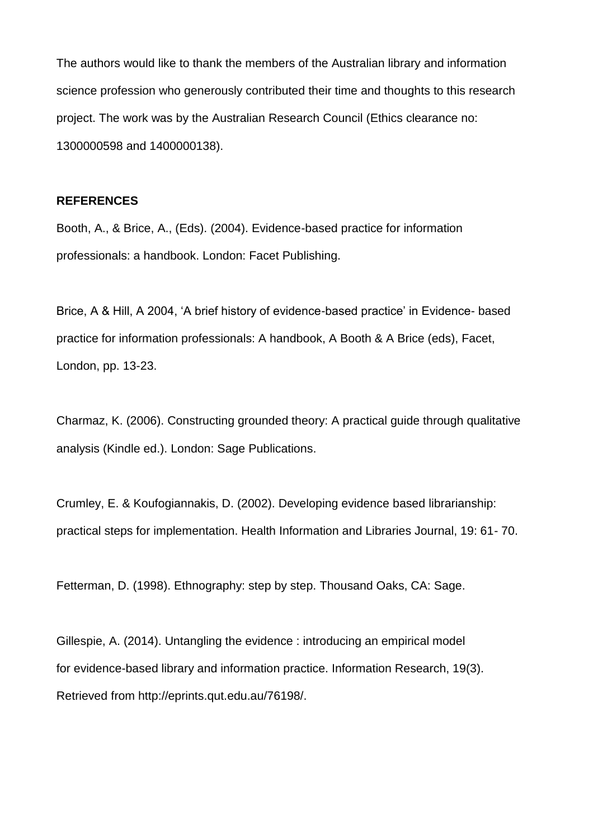The authors would like to thank the members of the Australian library and information science profession who generously contributed their time and thoughts to this research project. The work was by the Australian Research Council (Ethics clearance no: 1300000598 and 1400000138).

#### **REFERENCES**

Booth, A., & Brice, A., (Eds). (2004). Evidence-based practice for information professionals: a handbook. London: Facet Publishing.

Brice, A & Hill, A 2004, 'A brief history of evidence-based practice' in Evidence- based practice for information professionals: A handbook, A Booth & A Brice (eds), Facet, London, pp. 13-23.

Charmaz, K. (2006). Constructing grounded theory: A practical guide through qualitative analysis (Kindle ed.). London: Sage Publications.

Crumley, E. & Koufogiannakis, D. (2002). Developing evidence based librarianship: practical steps for implementation. Health Information and Libraries Journal, 19: 61- 70.

Fetterman, D. (1998). Ethnography: step by step. Thousand Oaks, CA: Sage.

Gillespie, A. (2014). Untangling the evidence : introducing an empirical model for evidence-based library and information practice. Information Research, 19(3). Retrieved from http://eprints.qut.edu.au/76198/.